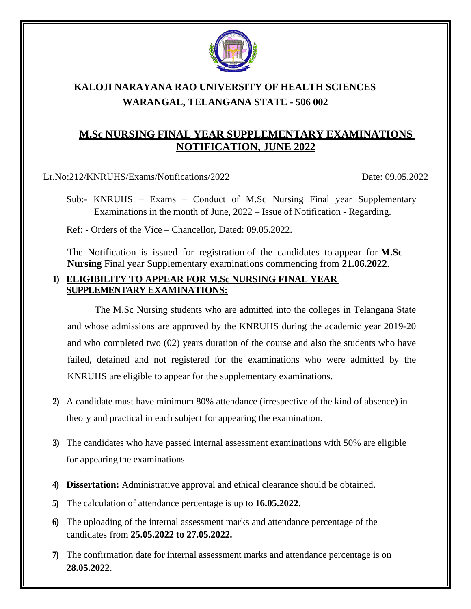

# **KALOJI NARAYANA RAO UNIVERSITY OF HEALTH SCIENCES WARANGAL, TELANGANA STATE - 506 002**

## **M.Sc NURSING FINAL YEAR SUPPLEMENTARY EXAMINATIONS NOTIFICATION, JUNE 2022**

Lr.No:212/KNRUHS/Exams/Notifications/2022 Date: 09.05.2022

Sub:- KNRUHS – Exams – Conduct of M.Sc Nursing Final year Supplementary Examinations in the month of June, 2022 – Issue of Notification - Regarding.

Ref: - Orders of the Vice – Chancellor, Dated: 09.05.2022.

The Notification is issued for registration of the candidates to appear for **M.Sc Nursing** Final year Supplementary examinations commencing from **21.06.2022**.

#### **1) ELIGIBILITY TO APPEAR FOR M.Sc NURSING FINAL YEAR SUPPLEMENTARY EXAMINATIONS:**

The M.Sc Nursing students who are admitted into the colleges in Telangana State and whose admissions are approved by the KNRUHS during the academic year 2019-20 and who completed two (02) years duration of the course and also the students who have failed, detained and not registered for the examinations who were admitted by the KNRUHS are eligible to appear for the supplementary examinations.

- **2)** A candidate must have minimum 80% attendance (irrespective of the kind of absence) in theory and practical in each subject for appearing the examination.
- **3)** The candidates who have passed internal assessment examinations with 50% are eligible for appearing the examinations.
- **4) Dissertation:** Administrative approval and ethical clearance should be obtained.
- **5)** The calculation of attendance percentage is up to **16.05.2022**.
- **6)** The uploading of the internal assessment marks and attendance percentage of the candidates from **25.05.2022 to 27.05.2022.**
- **7)** The confirmation date for internal assessment marks and attendance percentage is on **28.05.2022**.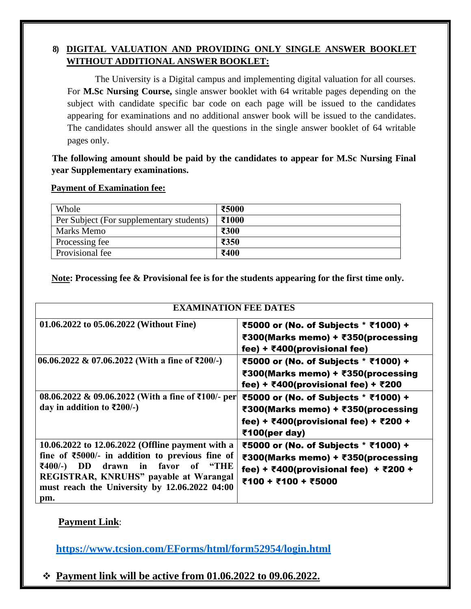### **8) DIGITAL VALUATION AND PROVIDING ONLY SINGLE ANSWER BOOKLET WITHOUT ADDITIONAL ANSWER BOOKLET:**

The University is a Digital campus and implementing digital valuation for all courses. For **M.Sc Nursing Course,** single answer booklet with 64 writable pages depending on the subject with candidate specific bar code on each page will be issued to the candidates appearing for examinations and no additional answer book will be issued to the candidates. The candidates should answer all the questions in the single answer booklet of 64 writable pages only.

 **The following amount should be paid by the candidates to appear for M.Sc Nursing Final year Supplementary examinations.**

#### **Payment of Examination fee:**

| Whole                                    | ₹5000 |
|------------------------------------------|-------|
| Per Subject (For supplementary students) | ₹1000 |
| Marks Memo                               | ₹300  |
| Processing fee                           | ₹350  |
| Provisional fee                          | ₹400  |

**Note: Processing fee & Provisional fee is for the students appearing for the first time only.**

| <b>EXAMINATION FEE DATES</b>                                                                                                                                                                                                                                                                |                                                                                                                                                                           |  |  |  |
|---------------------------------------------------------------------------------------------------------------------------------------------------------------------------------------------------------------------------------------------------------------------------------------------|---------------------------------------------------------------------------------------------------------------------------------------------------------------------------|--|--|--|
| 01.06.2022 to 05.06.2022 (Without Fine)                                                                                                                                                                                                                                                     | ₹5000 or (No. of Subjects * ₹1000) +<br>₹300(Marks memo) + ₹350(processing<br>fee) + $\bar{\tau}$ 400(provisional fee)                                                    |  |  |  |
| $06.06.2022 \& 07.06.2022$ (With a fine of ₹200/-)                                                                                                                                                                                                                                          | ₹5000 or (No. of Subjects * ₹1000) +<br>₹300(Marks memo) + ₹350(processing<br>fee) + ₹400(provisional fee) + ₹200                                                         |  |  |  |
| 08.06.2022 & 09.06.2022 (With a fine of ₹100/- per<br>day in addition to $\overline{\xi}200/-$ )                                                                                                                                                                                            | ₹5000 or (No. of Subjects * ₹1000) +<br>₹300(Marks memo) + ₹350(processing<br>fee) + ₹400(provisional fee) + ₹200 +<br>₹100(per day)                                      |  |  |  |
| 10.06.2022 to 12.06.2022 (Offline payment with a<br>fine of $\text{\textsterling}5000$ /- in addition to previous fine of<br>favor<br>₹400/-)<br>DD<br>drawn in<br>$\mathbf{``THE}$<br>of<br>REGISTRAR, KNRUHS" payable at Warangal<br>must reach the University by 12.06.2022 04:00<br>pm. | ₹5000 or (No. of Subjects * ₹1000) +<br>₹300(Marks memo) + ₹350(processing<br>fee) + $\overline{\xi}400$ (provisional fee) + $\overline{\xi}200$ +<br>₹100 + ₹100 + ₹5000 |  |  |  |

### **Payment Link**:

**<https://www.tcsion.com/EForms/html/form52954/login.html>**

❖ **Payment link will be active from 01.06.2022 to 09.06.2022.**